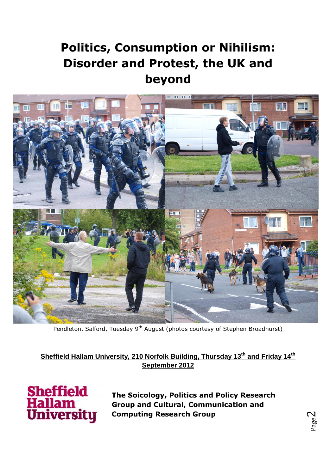# **Politics, Consumption or Nihilism: Disorder and Protest, the UK and beyond**



Pendleton, Salford, Tuesday 9<sup>th</sup> August (photos courtesy of Stephen Broadhurst)

**Sheffield Hallam University, 210 Norfolk Building, Thursday 13th and Friday 14th September 2012**



**The Soicology, Politics and Policy Research Group and Cultural, Communication and Computing Research Group**

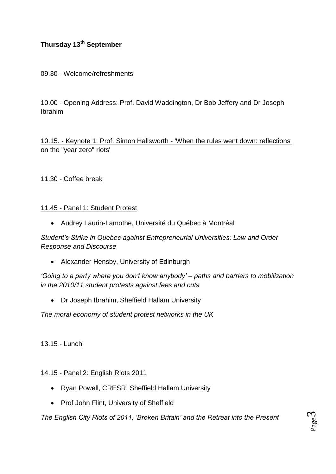# **Thursday 13th September**

## 09.30 - Welcome/refreshments

# 10.00 - Opening Address: Prof. David Waddington, Dr Bob Jeffery and Dr Joseph Ibrahim

10.15. - Keynote 1: Prof. Simon Hallsworth - 'When the rules went down: reflections on the "year zero" riots'

## 11.30 - Coffee break

#### 11.45 - Panel 1: Student Protest

Audrey Laurin-Lamothe, Université du Québec à Montréal

*Student's Strike in Quebec against Entrepreneurial Universities: Law and Order Response and Discourse*

Alexander Hensby, University of Edinburgh

*'Going to a party where you don't know anybody' – paths and barriers to mobilization in the 2010/11 student protests against fees and cuts*

Dr Joseph Ibrahim, Sheffield Hallam University

*The moral economy of student protest networks in the UK*

#### 13.15 - Lunch

## 14.15 - Panel 2: English Riots 2011

- Ryan Powell, CRESR, Sheffield Hallam University
- Prof John Flint, University of Sheffield

*The English City Riots of 2011, 'Broken Britain' and the Retreat into the Present*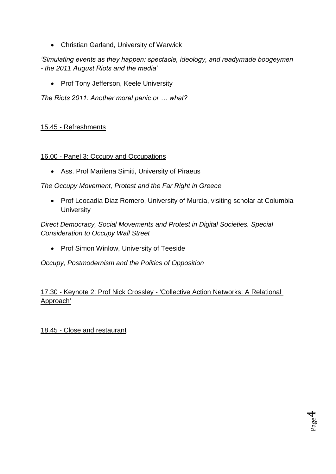Christian Garland, University of Warwick

# *'Simulating events as they happen: spectacle, ideology, and readymade boogeymen - the 2011 August Riots and the media'*

• Prof Tony Jefferson, Keele University

*The Riots 2011: Another moral panic or … what?*

## 15.45 - Refreshments

#### 16.00 - Panel 3: Occupy and Occupations

Ass. Prof Marilena Simiti, University of Piraeus

*The Occupy Movement, Protest and the Far Right in Greece*

• Prof Leocadia Diaz Romero, University of Murcia, visiting scholar at Columbia **University** 

*Direct Democracy, Social Movements and Protest in Digital Societies. Special Consideration to Occupy Wall Street*

• Prof Simon Winlow, University of Teeside

*Occupy, Postmodernism and the Politics of Opposition*

# 17.30 - Keynote 2: Prof Nick Crossley - 'Collective Action Networks: A Relational Approach'

18.45 - Close and restaurant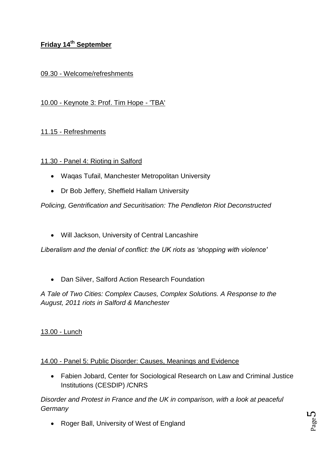# **Friday 14<sup>th</sup> September**

## 09.30 - Welcome/refreshments

#### 10.00 - Keynote 3: Prof. Tim Hope - 'TBA'

#### 11.15 - Refreshments

#### 11.30 - Panel 4: Rioting in Salford

- Waqas Tufail, Manchester Metropolitan University
- Dr Bob Jeffery, Sheffield Hallam University

*Policing, Gentrification and Securitisation: The Pendleton Riot Deconstructed*

Will Jackson, University of Central Lancashire

*Liberalism and the denial of conflict: the UK riots as 'shopping with violence'*

Dan Silver, Salford Action Research Foundation

*A Tale of Two Cities: Complex Causes, Complex Solutions. A Response to the August, 2011 riots in Salford & Manchester*

#### 13.00 - Lunch

#### 14.00 - Panel 5: Public Disorder: Causes, Meanings and Evidence

 Fabien Jobard, Center for Sociological Research on Law and Criminal Justice Institutions (CESDIP) /CNRS

*Disorder and Protest in France and the UK in comparison, with a look at peaceful Germany*

• Roger Ball, University of West of England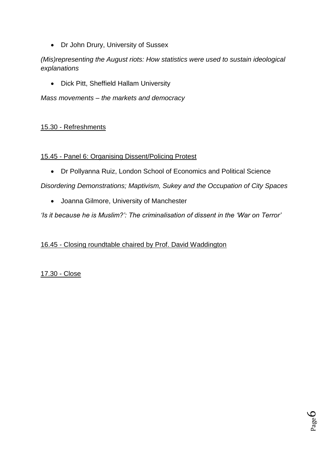• Dr John Drury, University of Sussex

# *(Mis)representing the August riots: How statistics were used to sustain ideological explanations*

Dick Pitt, Sheffield Hallam University

*Mass movements – the markets and democracy*

## 15.30 - Refreshments

#### 15.45 - Panel 6: Organising Dissent/Policing Protest

Dr Pollyanna Ruiz, London School of Economics and Political Science

*Disordering Demonstrations; Maptivism, Sukey and the Occupation of City Spaces*

Joanna Gilmore, University of Manchester

*'Is it because he is Muslim?': The criminalisation of dissent in the 'War on Terror'*

# 16.45 - Closing roundtable chaired by Prof. David Waddington

17.30 - Close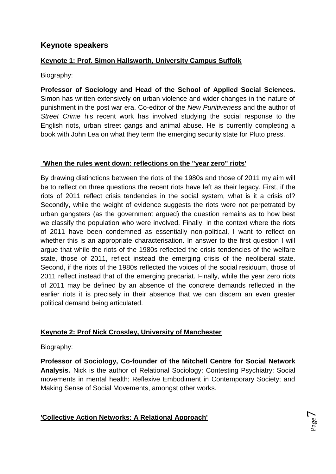# **Keynote speakers**

## **Keynote 1: Prof. Simon Hallsworth, University Campus Suffolk**

Biography:

**Professor of Sociology and Head of the School of Applied Social Sciences.** Simon has written extensively on urban violence and wider changes in the nature of punishment in the post war era. Co-editor of the *New Punitiveness* and the author of *Street Crime* his recent work has involved studying the social response to the English riots, urban street gangs and animal abuse. He is currently completing a book with John Lea on what they term the emerging security state for Pluto press.

#### **'When the rules went down: reflections on the "year zero" riots'**

By drawing distinctions between the riots of the 1980s and those of 2011 my aim will be to reflect on three questions the recent riots have left as their legacy. First, if the riots of 2011 reflect crisis tendencies in the social system, what is it a crisis of? Secondly, while the weight of evidence suggests the riots were not perpetrated by urban gangsters (as the government argued) the question remains as to how best we classify the population who were involved. Finally, in the context where the riots of 2011 have been condemned as essentially non-political, I want to reflect on whether this is an appropriate characterisation. In answer to the first question I will argue that while the riots of the 1980s reflected the crisis tendencies of the welfare state, those of 2011, reflect instead the emerging crisis of the neoliberal state. Second, if the riots of the 1980s reflected the voices of the social residuum, those of 2011 reflect instead that of the emerging precariat. Finally, while the year zero riots of 2011 may be defined by an absence of the concrete demands reflected in the earlier riots it is precisely in their absence that we can discern an even greater political demand being articulated.

## **Keynote 2: Prof Nick Crossley, University of Manchester**

Biography:

**Professor of Sociology, Co-founder of the Mitchell Centre for Social Network Analysis.** Nick is the author of Relational Sociology; Contesting Psychiatry: Social movements in mental health; Reflexive Embodiment in Contemporary Society; and Making Sense of Social Movements, amongst other works.

**'Collective Action Networks: A Relational Approach'**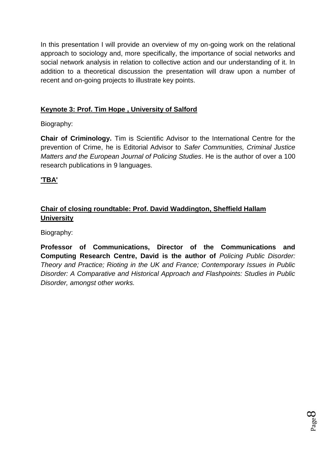In this presentation I will provide an overview of my on-going work on the relational approach to sociology and, more specifically, the importance of social networks and social network analysis in relation to collective action and our understanding of it. In addition to a theoretical discussion the presentation will draw upon a number of recent and on-going projects to illustrate key points.

## **Keynote 3: Prof. Tim Hope , University of Salford**

Biography:

**Chair of Criminology.** Tim is Scientific Advisor to the International Centre for the prevention of Crime, he is Editorial Advisor to *Safer Communities, Criminal Justice Matters and the European Journal of Policing Studies*. He is the author of over a 100 research publications in 9 languages.

# **'TBA'**

# **Chair of closing roundtable: Prof. David Waddington, Sheffield Hallam University**

Biography:

**Professor of Communications, Director of the Communications and Computing Research Centre, David is the author of** *Policing Public Disorder: Theory and Practice; Rioting in the UK and France; Contemporary Issues in Public Disorder: A Comparative and Historical Approach and Flashpoints: Studies in Public Disorder, amongst other works.*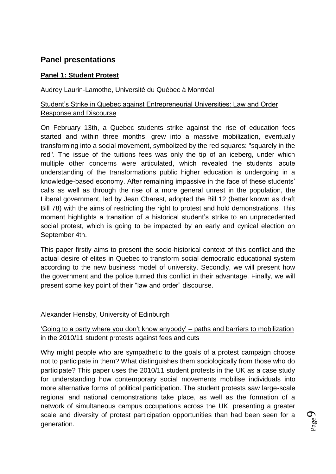# **Panel presentations**

#### **Panel 1: Student Protest**

Audrey Laurin-Lamothe, Université du Québec à Montréal

# Student"s Strike in Quebec against Entrepreneurial Universities: Law and Order Response and Discourse

On February 13th, a Quebec students strike against the rise of education fees started and within three months, grew into a massive mobilization, eventually transforming into a social movement, symbolized by the red squares: "squarely in the red". The issue of the tuitions fees was only the tip of an iceberg, under which multiple other concerns were articulated, which revealed the students' acute understanding of the transformations public higher education is undergoing in a knowledge-based economy. After remaining impassive in the face of these students" calls as well as through the rise of a more general unrest in the population, the Liberal government, led by Jean Charest, adopted the Bill 12 (better known as draft Bill 78) with the aims of restricting the right to protest and hold demonstrations. This moment highlights a transition of a historical student"s strike to an unprecedented social protest, which is going to be impacted by an early and cynical election on September 4th.

This paper firstly aims to present the socio-historical context of this conflict and the actual desire of elites in Quebec to transform social democratic educational system according to the new business model of university. Secondly, we will present how the government and the police turned this conflict in their advantage. Finally, we will present some key point of their "law and order" discourse.

#### Alexander Hensby, University of Edinburgh

## "Going to a party where you don"t know anybody" – paths and barriers to mobilization in the 2010/11 student protests against fees and cuts

Why might people who are sympathetic to the goals of a protest campaign choose not to participate in them? What distinguishes them sociologically from those who do participate? This paper uses the 2010/11 student protests in the UK as a case study for understanding how contemporary social movements mobilise individuals into more alternative forms of political participation. The student protests saw large-scale regional and national demonstrations take place, as well as the formation of a network of simultaneous campus occupations across the UK, presenting a greater scale and diversity of protest participation opportunities than had been seen for a generation.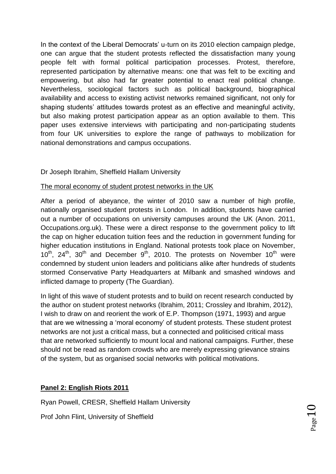In the context of the Liberal Democrats" u-turn on its 2010 election campaign pledge, one can argue that the student protests reflected the dissatisfaction many young people felt with formal political participation processes. Protest, therefore, represented participation by alternative means: one that was felt to be exciting and empowering, but also had far greater potential to enact real political change. Nevertheless, sociological factors such as political background, biographical availability and access to existing activist networks remained significant, not only for shaping students' attitudes towards protest as an effective and meaningful activity, but also making protest participation appear as an option available to them. This paper uses extensive interviews with participating and non-participating students from four UK universities to explore the range of pathways to mobilization for national demonstrations and campus occupations.

# Dr Joseph Ibrahim, Sheffield Hallam University

## The moral economy of student protest networks in the UK

After a period of abeyance, the winter of 2010 saw a number of high profile, nationally organised student protests in London. In addition, students have carried out a number of occupations on university campuses around the UK (Anon. 2011, Occupations.org.uk). These were a direct response to the government policy to lift the cap on higher education tuition fees and the reduction in government funding for higher education institutions in England. National protests took place on November,  $10^{th}$ ,  $24^{th}$ ,  $30^{th}$  and December  $9^{th}$ , 2010. The protests on November  $10^{th}$  were condemned by student union leaders and politicians alike after hundreds of students stormed Conservative Party Headquarters at Milbank and smashed windows and inflicted damage to property (The Guardian).

In light of this wave of student protests and to build on recent research conducted by the author on student protest networks (Ibrahim, 2011; Crossley and Ibrahim, 2012), I wish to draw on and reorient the work of E.P. Thompson (1971, 1993) and argue that are we witnessing a "moral economy" of student protests. These student protest networks are not just a critical mass, but a connected and politicised critical mass that are networked sufficiently to mount local and national campaigns. Further, these should not be read as random crowds who are merely expressing grievance strains of the system, but as organised social networks with political motivations.

# **Panel 2: English Riots 2011**

Ryan Powell, CRESR, Sheffield Hallam University

Prof John Flint, University of Sheffield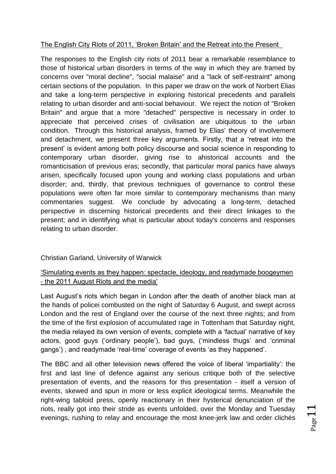## The English City Riots of 2011, "Broken Britain" and the Retreat into the Present

The responses to the English city riots of 2011 bear a remarkable resemblance to those of historical urban disorders in terms of the way in which they are framed by concerns over "moral decline", "social malaise" and a "lack of self-restraint" among certain sections of the population. In this paper we draw on the work of Norbert Elias and take a long-term perspective in exploring historical precedents and parallels relating to urban disorder and anti-social behaviour. We reject the notion of "Broken Britain" and argue that a more "detached" perspective is necessary in order to appreciate that perceived crises of civilisation are ubiquitous to the urban condition. Through this historical analysis, framed by Elias' theory of involvement and detachment, we present three key arguments. Firstly, that a "retreat into the present" is evident among both policy discourse and social science in responding to contemporary urban disorder, giving rise to ahistorical accounts and the romanticisation of previous eras; secondly, that particular moral panics have always arisen, specifically focused upon young and working class populations and urban disorder; and, thirdly, that previous techniques of governance to control these populations were often far more similar to contemporary mechanisms than many commentaries suggest. We conclude by advocating a long-term, detached perspective in discerning historical precedents and their direct linkages to the present; and in identifying what is particular about today's concerns and responses relating to urban disorder.

## Christian Garland, University of Warwick

## "Simulating events as they happen: spectacle, ideology, and readymade boogeymen - the 2011 August Riots and the media"

Last August's riots which began in London after the death of another black man at the hands of policei combusted on the night of Saturday 6 August, and swept across London and the rest of England over the course of the next three nights; and from the time of the first explosion of accumulated rage in Tottenham that Saturday night, the media relayed its own version of events, complete with a "factual" narrative of key actors, good guys ("ordinary people"), bad guys, ("mindless thugs" and "criminal gangs'), and readymade 'real-time' coverage of events 'as they happened'.

The BBC and all other television news offered the voice of liberal "impartiality": the first and last line of defence against any serious critique both of the selective presentation of events, and the reasons for this presentation - itself a version of events, skewed and spun in more or less explicit ideological terms. Meanwhile the right-wing tabloid press, openly reactionary in their hysterical denunciation of the riots, really got into their stride as events unfolded, over the Monday and Tuesday evenings, rushing to relay and encourage the most knee-jerk law and order clichés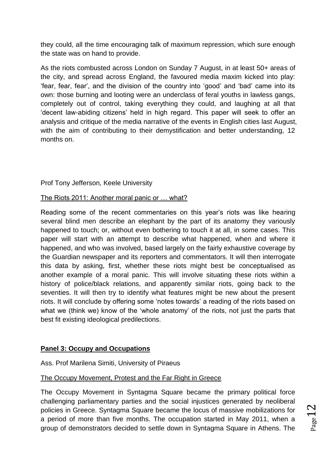they could, all the time encouraging talk of maximum repression, which sure enough the state was on hand to provide.

As the riots combusted across London on Sunday 7 August, in at least 50+ areas of the city, and spread across England, the favoured media maxim kicked into play: "fear, fear, fear", and the division of the country into "good" and "bad" came into its own: those burning and looting were an underclass of feral youths in lawless gangs, completely out of control, taking everything they could, and laughing at all that "decent law-abiding citizens" held in high regard. This paper will seek to offer an analysis and critique of the media narrative of the events in English cities last August, with the aim of contributing to their demystification and better understanding, 12 months on.

Prof Tony Jefferson, Keele University

#### The Riots 2011: Another moral panic or … what?

Reading some of the recent commentaries on this year"s riots was like hearing several blind men describe an elephant by the part of its anatomy they variously happened to touch; or, without even bothering to touch it at all, in some cases. This paper will start with an attempt to describe what happened, when and where it happened, and who was involved, based largely on the fairly exhaustive coverage by the Guardian newspaper and its reporters and commentators. It will then interrogate this data by asking, first, whether these riots might best be conceptualised as another example of a moral panic. This will involve situating these riots within a history of police/black relations, and apparently similar riots, going back to the seventies. It will then try to identify what features might be new about the present riots. It will conclude by offering some "notes towards" a reading of the riots based on what we (think we) know of the 'whole anatomy' of the riots, not just the parts that best fit existing ideological predilections.

## **Panel 3: Occupy and Occupations**

Ass. Prof Marilena Simiti, University of Piraeus

## The Occupy Movement, Protest and the Far Right in Greece

The Occupy Movement in Syntagma Square became the primary political force challenging parliamentary parties and the social injustices generated by neoliberal policies in Greece. Syntagma Square became the locus of massive mobilizations for a period of more than five months. The occupation started in May 2011, when a group of demonstrators decided to settle down in Syntagma Square in Athens. The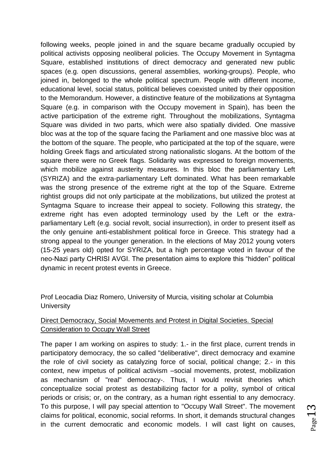following weeks, people joined in and the square became gradually occupied by political activists opposing neoliberal policies. The Occupy Movement in Syntagma Square, established institutions of direct democracy and generated new public spaces (e.g. open discussions, general assemblies, working-groups). People, who joined in, belonged to the whole political spectrum. People with different income, educational level, social status, political believes coexisted united by their opposition to the Memorandum. However, a distinctive feature of the mobilizations at Syntagma Square (e.g. in comparison with the Occupy movement in Spain), has been the active participation of the extreme right. Throughout the mobilizations, Syntagma Square was divided in two parts, which were also spatially divided. One massive bloc was at the top of the square facing the Parliament and one massive bloc was at the bottom of the square. The people, who participated at the top of the square, were holding Greek flags and articulated strong nationalistic slogans. At the bottom of the square there were no Greek flags. Solidarity was expressed to foreign movements, which mobilize against austerity measures. In this bloc the parliamentary Left (SYRIZA) and the extra-parliamentary Left dominated. What has been remarkable was the strong presence of the extreme right at the top of the Square. Extreme rightist groups did not only participate at the mobilizations, but utilized the protest at Syntagma Square to increase their appeal to society. Following this strategy, the extreme right has even adopted terminology used by the Left or the extraparliamentary Left (e.g. social revolt, social insurrection), in order to present itself as the only genuine anti-establishment political force in Greece. This strategy had a strong appeal to the younger generation. In the elections of May 2012 young voters (15-25 years old) opted for SYRIZA, but a high percentage voted in favour of the neo-Nazi party CHRISI AVGI. The presentation aims to explore this "hidden" political dynamic in recent protest events in Greece.

Prof Leocadia Diaz Romero, University of Murcia, visiting scholar at Columbia **University** 

#### Direct Democracy, Social Movements and Protest in Digital Societies. Special Consideration to Occupy Wall Street

The paper I am working on aspires to study: 1.- in the first place, current trends in participatory democracy, the so called "deliberative", direct democracy and examine the role of civil society as catalyzing force of social, political change; 2.- in this context, new impetus of political activism –social movements, protest, mobilization as mechanism of "real" democracy-. Thus, I would revisit theories which conceptualize social protest as destabilizing factor for a polity, symbol of critical periods or crisis; or, on the contrary, as a human right essential to any democracy. To this purpose, I will pay special attention to "Occupy Wall Street". The movement claims for political, economic, social reforms. In short, it demands structural changes in the current democratic and economic models. I will cast light on causes,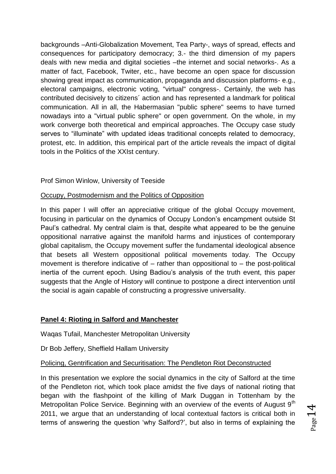backgrounds –Anti-Globalization Movement, Tea Party-, ways of spread, effects and consequences for participatory democracy; 3.- the third dimension of my papers deals with new media and digital societies –the internet and social networks-. As a matter of fact, Facebook, Twiter, etc., have become an open space for discussion showing great impact as communication, propaganda and discussion platforms- e.g., electoral campaigns, electronic voting, "virtual" congress-. Certainly, the web has contributed decisively to citizens´ action and has represented a landmark for political communication. All in all, the Habermasian "public sphere" seems to have turned nowadays into a "virtual public sphere" or open government. On the whole, in my work converge both theoretical and empirical approaches. The Occupy case study serves to "illuminate" with updated ideas traditional concepts related to democracy, protest, etc. In addition, this empirical part of the article reveals the impact of digital tools in the Politics of the XXIst century.

#### Prof Simon Winlow, University of Teeside

#### Occupy, Postmodernism and the Politics of Opposition

In this paper I will offer an appreciative critique of the global Occupy movement, focusing in particular on the dynamics of Occupy London"s encampment outside St Paul"s cathedral. My central claim is that, despite what appeared to be the genuine oppositional narrative against the manifold harms and injustices of contemporary global capitalism, the Occupy movement suffer the fundamental ideological absence that besets all Western oppositional political movements today. The Occupy movement is therefore indicative of – rather than oppositional to – the post-political inertia of the current epoch. Using Badiou"s analysis of the truth event, this paper suggests that the Angle of History will continue to postpone a direct intervention until the social is again capable of constructing a progressive universality.

## **Panel 4: Rioting in Salford and Manchester**

Waqas Tufail, Manchester Metropolitan University

Dr Bob Jeffery, Sheffield Hallam University

#### Policing, Gentrification and Securitisation: The Pendleton Riot Deconstructed

In this presentation we explore the social dynamics in the city of Salford at the time of the Pendleton riot, which took place amidst the five days of national rioting that began with the flashpoint of the killing of Mark Duggan in Tottenham by the Metropolitan Police Service. Beginning with an overview of the events of August 9<sup>th</sup> 2011, we argue that an understanding of local contextual factors is critical both in terms of answering the question "why Salford?", but also in terms of explaining the

 $Page14$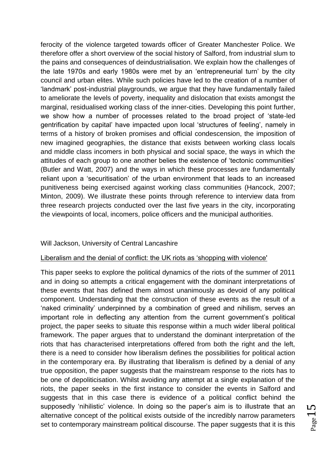ferocity of the violence targeted towards officer of Greater Manchester Police. We therefore offer a short overview of the social history of Salford, from industrial slum to the pains and consequences of deindustrialisation. We explain how the challenges of the late 1970s and early 1980s were met by an "entrepreneurial turn" by the city council and urban elites. While such policies have led to the creation of a number of "landmark" post-industrial playgrounds, we argue that they have fundamentally failed to ameliorate the levels of poverty, inequality and dislocation that exists amongst the marginal, residualised working class of the inner-cities. Developing this point further, we show how a number of processes related to the broad project of "state-led gentrification by capital" have impacted upon local "structures of feeling", namely in terms of a history of broken promises and official condescension, the imposition of new imagined geographies, the distance that exists between working class locals and middle class incomers in both physical and social space, the ways in which the attitudes of each group to one another belies the existence of "tectonic communities" (Butler and Watt, 2007) and the ways in which these processes are fundamentally reliant upon a "securitisation" of the urban environment that leads to an increased punitiveness being exercised against working class communities (Hancock, 2007; Minton, 2009). We illustrate these points through reference to interview data from three research projects conducted over the last five years in the city, incorporating the viewpoints of local, incomers, police officers and the municipal authorities.

#### Will Jackson, University of Central Lancashire

#### Liberalism and the denial of conflict: the UK riots as "shopping with violence'

This paper seeks to explore the political dynamics of the riots of the summer of 2011 and in doing so attempts a critical engagement with the dominant interpretations of these events that has defined them almost unanimously as devoid of any political component. Understanding that the construction of these events as the result of a 'naked criminality' underpinned by a combination of greed and nihilism, serves an important role in deflecting any attention from the current government's political project, the paper seeks to situate this response within a much wider liberal political framework. The paper argues that to understand the dominant interpretation of the riots that has characterised interpretations offered from both the right and the left, there is a need to consider how liberalism defines the possibilities for political action in the contemporary era. By illustrating that liberalism is defined by a denial of any true opposition, the paper suggests that the mainstream response to the riots has to be one of depoliticisation. Whilst avoiding any attempt at a single explanation of the riots, the paper seeks in the first instance to consider the events in Salford and suggests that in this case there is evidence of a political conflict behind the supposedly 'nihilistic' violence. In doing so the paper's aim is to illustrate that an alternative concept of the political exists outside of the incredibly narrow parameters set to contemporary mainstream political discourse. The paper suggests that it is this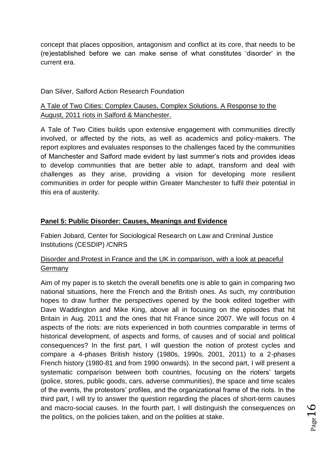concept that places opposition, antagonism and conflict at its core, that needs to be (re)established before we can make sense of what constitutes "disorder" in the current era.

#### Dan Silver, Salford Action Research Foundation

## A Tale of Two Cities: Complex Causes, Complex Solutions. A Response to the August, 2011 riots in Salford & Manchester.

A Tale of Two Cities builds upon extensive engagement with communities directly involved, or affected by the riots, as well as academics and policy-makers. The report explores and evaluates responses to the challenges faced by the communities of Manchester and Salford made evident by last summer"s riots and provides ideas to develop communities that are better able to adapt, transform and deal with challenges as they arise, providing a vision for developing more resilient communities in order for people within Greater Manchester to fulfil their potential in this era of austerity.

#### **Panel 5: Public Disorder: Causes, Meanings and Evidence**

Fabien Jobard, Center for Sociological Research on Law and Criminal Justice Institutions (CESDIP) /CNRS

## Disorder and Protest in France and the UK in comparison, with a look at peaceful **Germany**

Aim of my paper is to sketch the overall benefits one is able to gain in comparing two national situations, here the French and the British ones. As such, my contribution hopes to draw further the perspectives opened by the book edited together with Dave Waddington and Mike King, above all in focusing on the episodes that hit Britain in Aug. 2011 and the ones that hit France since 2007. We will focus on 4 aspects of the riots: are riots experienced in both countries comparable in terms of historical development, of aspects and forms, of causes and of social and political consequences? In the first part, I will question the notion of protest cycles and compare a 4-phases British history (1980s, 1990s, 2001, 2011) to a 2-phases French history (1980-81 and from 1990 onwards). In the second part, I will present a systematic comparison between both countries, focusing on the rioters' targets (police, stores, public goods, cars, adverse communities), the space and time scales of the events, the protestors" profiles, and the organizational frame of the riots. In the third part, I will try to answer the question regarding the places of short-term causes and macro-social causes. In the fourth part, I will distinguish the consequences on the politics, on the policies taken, and on the polities at stake.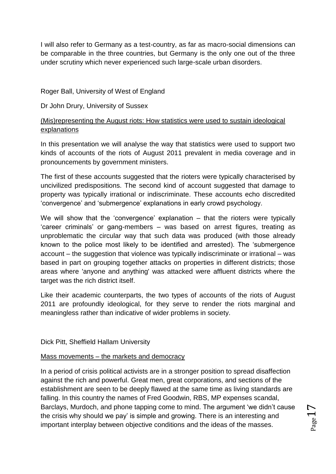I will also refer to Germany as a test-country, as far as macro-social dimensions can be comparable in the three countries, but Germany is the only one out of the three under scrutiny which never experienced such large-scale urban disorders.

## Roger Ball, University of West of England

#### Dr John Drury, University of Sussex

## (Mis)representing the August riots: How statistics were used to sustain ideological explanations

In this presentation we will analyse the way that statistics were used to support two kinds of accounts of the riots of August 2011 prevalent in media coverage and in pronouncements by government ministers.

The first of these accounts suggested that the rioters were typically characterised by uncivilized predispositions. The second kind of account suggested that damage to property was typically irrational or indiscriminate. These accounts echo discredited "convergence" and "submergence" explanations in early crowd psychology.

We will show that the 'convergence' explanation  $-$  that the rioters were typically "career criminals" or gang-members – was based on arrest figures, treating as unproblematic the circular way that such data was produced (with those already known to the police most likely to be identified and arrested). The "submergence account – the suggestion that violence was typically indiscriminate or irrational – was based in part on grouping together attacks on properties in different districts; those areas where 'anyone and anything' was attacked were affluent districts where the target was the rich district itself.

Like their academic counterparts, the two types of accounts of the riots of August 2011 are profoundly ideological, for they serve to render the riots marginal and meaningless rather than indicative of wider problems in society.

Dick Pitt, Sheffield Hallam University

#### Mass movements – the markets and democracy

In a period of crisis political activists are in a stronger position to spread disaffection against the rich and powerful. Great men, great corporations, and sections of the establishment are seen to be deeply flawed at the same time as living standards are falling. In this country the names of Fred Goodwin, RBS, MP expenses scandal, Barclays, Murdoch, and phone tapping come to mind. The argument "we didn"t cause the crisis why should we pay" is simple and growing. There is an interesting and important interplay between objective conditions and the ideas of the masses.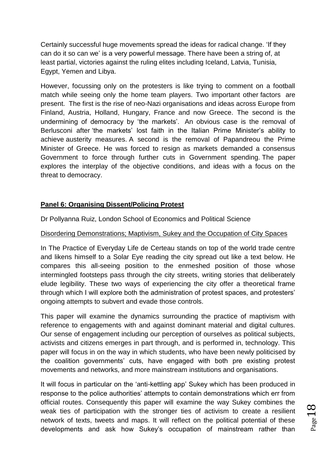Certainly successful huge movements spread the ideas for radical change. "If they can do it so can we" is a very powerful message. There have been a string of, at least partial, victories against the ruling elites including Iceland, Latvia, Tunisia, Egypt, Yemen and Libya.

However, focussing only on the protesters is like trying to comment on a football match while seeing only the home team players. Two important other factors are present. The first is the rise of neo-Nazi organisations and ideas across Europe from Finland, Austria, Holland, Hungary, France and now Greece. The second is the undermining of democracy by 'the markets'. An obvious case is the removal of Berlusconi after 'the markets' lost faith in the Italian Prime Minister's ability to achieve austerity measures. A second is the removal of Papandreou the Prime Minister of Greece. He was forced to resign as markets demanded a consensus Government to force through further cuts in Government spending. The paper explores the interplay of the objective conditions, and ideas with a focus on the threat to democracy.

## **Panel 6: Organising Dissent/Policing Protest**

Dr Pollyanna Ruiz, London School of Economics and Political Science

#### Disordering Demonstrations; Maptivism, Sukey and the Occupation of City Spaces

In The Practice of Everyday Life de Certeau stands on top of the world trade centre and likens himself to a Solar Eye reading the city spread out like a text below. He compares this all-seeing position to the enmeshed position of those whose intermingled footsteps pass through the city streets, writing stories that deliberately elude legibility. These two ways of experiencing the city offer a theoretical frame through which I will explore both the administration of protest spaces, and protesters" ongoing attempts to subvert and evade those controls.

This paper will examine the dynamics surrounding the practice of maptivism with reference to engagements with and against dominant material and digital cultures. Our sense of engagement including our perception of ourselves as political subjects, activists and citizens emerges in part through, and is performed in, technology. This paper will focus in on the way in which students, who have been newly politicised by the coalition governments" cuts, have engaged with both pre existing protest movements and networks, and more mainstream institutions and organisations.

It will focus in particular on the "anti-kettling app" Sukey which has been produced in response to the police authorities" attempts to contain demonstrations which err from official routes. Consequently this paper will examine the way Sukey combines the weak ties of participation with the stronger ties of activism to create a resilient network of texts, tweets and maps. It will reflect on the political potential of these developments and ask how Sukey"s occupation of mainstream rather than